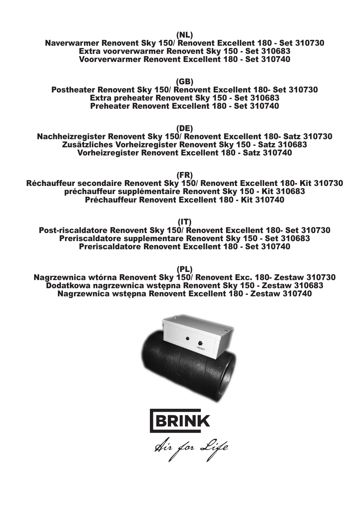(NL)

Naverwarmer Renovent Sky 150/ Renovent Excellent 180 - Set 310730 Extra voorverwarmer Renovent Sky 150 - Set 310683 Voorverwarmer Renovent Excellent 180 - Set 310740

(GB)

Postheater Renovent Sky 150/ Renovent Excellent 180- Set 310730 Extra preheater Renovent Sky 150 - Set 310683 Preheater Renovent Excellent 180 - Set 310740

(DE)

Nachheizregister Renovent Sky 150/ Renovent Excellent 180- Satz 310730 Zusätzliches Vorheizregister Renovent Sky 150 - Satz 310683 Vorheizregister Renovent Excellent 180 - Satz 310740

(FR)

Réchauffeur secondaire Renovent Sky 150/ Renovent Excellent 180- Kit 310730 préchauffeur supplémentaire Renovent Sky 150 - Kit 310683 Préchauffeur Renovent Excellent 180 - Kit 310740

(IT)

Post-riscaldatore Renovent Sky 150/ Renovent Excellent 180- Set 310730 Preriscaldatore supplementare Renovent Sky 150 - Set 310683 Preriscaldatore Renovent Excellent 180 - Set 310740

Nagrzewnica wtórna Renovent Sky 150/ Renovent Exc. 180- Zestaw 310730 Dodatkowa nagrzewnica wstępna Renovent Sky 150 - Zestaw 310683 Nagrzewnica wstępna Renovent Excellent 180 - Zestaw 310740



(PL)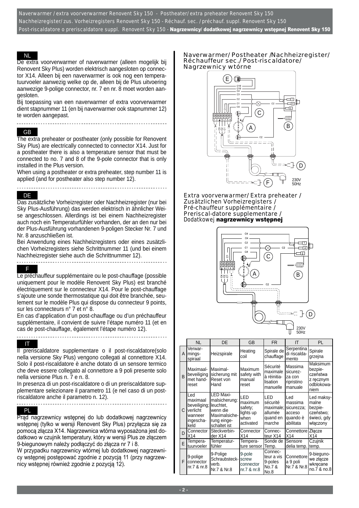Naverwarmer / extra voorverwarmer Renovent Sky 150 - Postheater/ extra preheater Renovent Sky 150 Nachheizregister/ zus. Vorheizregisters Renovent Sky 150 - Réchauf. sec. / préchauf. suppl. Renovent Sky 150 Post-riscaldatore o preriscaldatore suppl. Renovent Sky 150 - Nagrzewnicy/dodatkowej nagrzewnicy wstępnej Renovent Sky 150

#### NL

De extra voorverwarmer of naverwarmer (alleen mogelijk bij Renovent Sky Plus) worden elektrisch aangesloten op connector X14. Alleen bij een naverwarmer is ook nog een temperatuurvoeler aanwezig welke op de, alleen bij de Plus uitvoering aanwezige 9-polige connector, nr. 7 en nr. 8 moet worden aangesloten.

Bij toepassing van een naverwarmer of extra voorverwarmer dient stapnummer 11 (en bij naverwarmer ook stapnummer 12) te worden aangepast.

# GB

The extra preheater or postheater (only possible for Renovent Sky Plus) are electrically connected to connector X14. Just for a postheater there is also a temperature sensor that must be connected to no. 7 and 8 of the 9-pole connector that is only installed in the Plus version.

When using a postheater or extra preheater, step number 11 is applied (and for postheater also step number 12).

### DE

Das zusätzliche Vorheizregister oder Nachheizregister (nur bei Sky Plus-Ausführung) das werden elektrisch in ähnlicher Weise angeschlossen. Allerdings ist bei einem Nachheizregister auch noch ein Temperaturfühler vorhanden, der an den nur bei der Plus-Ausführung vorhandenen 9-poligen Stecker Nr. 7 und Nr. 8 anzuschließen ist.

Bei Anwendung eines Nachheizregisters oder eines zusätzlichen Vorheizregisters siehe Schrittnummer 11 (und bei einem Nachheizregister siehe auch die Schrittnummer 12).

#### F

Le préchauffeur supplémentaire ou le post-chauffage (possible uniquement pour le modèle Renovent Sky Plus) est branché électriquement sur le connecteur X14. Pour le post-chauffage s'ajoute une sonde thermostatique qui doit être branchée, seulement sur le modèle Plus qui dispose du connecteur 9 points, sur les connecteurs n° 7 et n° 8.

En cas d'application d'un post-chauffage ou d'un préchauffeur supplémentaire, il convient de suivre l'étape numéro 11 (et en cas de post-chauffage, également l'étape numéro 12).

#### IT

Il preriscaldatore supplementare o il post-riscaldatore(solo nella versione Sky Plus) vengono collegati al connettore X14. Solo il post-riscaldatore è anche dotato di un sensore termico che deve essere collegato al connettore a 9 poli presente solo nella versione Plus n. 7 e n. 8.

In presenza di un post-riscaldatore o di un preriscaldatore supplementare selezionare il parametro 11 (e nel caso di un postriscaldatore anche il parametro n. 12).

#### PL

Prąd nagrzewnicy wstępnej do lub dodatkowej nagrzewnicy wstępnej (tylko w wersji Renovent Sky Plus) przyłącza się za pomocą złącza X14. Nagrzewnica wtórna wyposażona jest dodatkowo w czujnik temperatury, który w wersji Plus ze złączem 9-biegunowym należy podłączyć do złącza nr 7 i 8.

W przypadku nagrzewnicy wtórnej lub dodatkowej nagrzewnicy wstępnej postępować zgodnie z pozycją 11 (przy nagrzewnicy wstępnej również zgodnie z pozycją 12).

#### Naverwarmer/ Postheater /Nachheizregister/ Réchauffeur sec./ Post-riscaldatore/ Nagrzewnicy wtórne



Extra voorverwarmer/ Extra preheater / Zusätzlichen Vorheizregisters / Pré-chauffeur supplémentaire / Preriscal-datore supplementare / Dodatkowej nagrzewnicy wstępnej



|              | <b>NL</b><br>DE                                                             |                                                                                                     | <b>FR</b><br>GB                                             |                                                               | ΙT                                                              | PL                                                                     |
|--------------|-----------------------------------------------------------------------------|-----------------------------------------------------------------------------------------------------|-------------------------------------------------------------|---------------------------------------------------------------|-----------------------------------------------------------------|------------------------------------------------------------------------|
| A            | Verwar-<br>mings-<br>spiraal                                                | Heizspirale                                                                                         | Heating<br>coil                                             | Spirale de<br>chauffage                                       | Serpentina<br>di riscalda-<br>mento                             | Spirale<br>grzejna                                                     |
| <sub>B</sub> | Maximaal-<br>beveiliging<br>met hand-<br>reset                              | <b>I</b> Maximal-<br>sicherung mit<br>Reset von<br>Hand                                             | Maximum<br>safety with<br>manual<br>reset                   | Sécurité<br>maximale<br>à réinitia-<br>lisation<br>manuelle   | Massima<br>sicurez-<br>za con<br>ripristino<br>manuale          | Maksimum<br>bezpie-<br>czeństwa<br>z ręcznym<br>odblokowa-<br>niem     |
| C            | Led<br>maximaal<br>beveiliging;<br>verlicht<br>wanneer<br>ingescha-<br>keld | LED Maxi-<br>malsicherung:<br>leuchtet.<br>wenn die<br>Maximalsiche-<br>rung einge-<br>schaltet ist | LED<br>maximum<br>safety;<br>lights up<br>when<br>activated | LED<br>sécurité<br>maximale;<br>allumée<br>quand en<br>marche | Led<br>massima<br>sicurezza;<br>acceso<br>quando è<br>abilitata | Led maksy-<br>malne<br>bezpie-<br>czeństwo;<br>świeci, gdy<br>włączony |
| D            | Connector<br>X14                                                            | Steckverbin-<br>der X14                                                                             | Connector<br>X14                                            | Connec-<br>teur X14                                           | Connettore Złącze<br>X14                                        | X14                                                                    |
| F            | Tempera-<br>tuurvoeler                                                      | Temperatur-<br>fühler                                                                               | Tempera-<br>ture sensor                                     | Sonde de<br>Temp.                                             | Sensore<br>delia temp.                                          | Czujnik<br>temp.                                                       |
| F.           | 9-polige<br>connector<br>nr.7 & nr.8                                        | 9-Polige<br>Schraubsteck-<br>verb.<br>Nr.7 & Nr.8                                                   | 9-pole<br>screw<br>connector<br>nr.7 & nr.8                 | Connec-<br>teur a vis<br>9-poles<br>No.7 &<br>No.8            | Connettore<br>a 9 poli<br>Nr.7 & Nr.8                           | 9-bieguno-<br>we złącze<br>wkrecane<br>no.7 & no.8                     |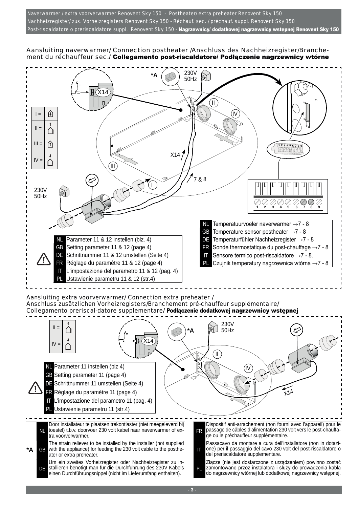Naverwarmer / extra voorverwarmer Renovent Sky 150 - Postheater/ extra preheater Renovent Sky 150 Nachheizregister/ zus. Vorheizregisters Renovent Sky 150 - Réchauf. sec. / préchauf. suppl. Renovent Sky 150 Post-riscaldatore o preriscaldatore suppl. Renovent Sky 150 - Nagrzewnicy/dodatkowej nagrzewnicy wstępnej Renovent Sky 150

### Aansluiting naverwarmer/ Connection postheater /Anschluss des Nachheizregister/Branchement du réchauffeur sec./ Collegamento post-riscaldatore/ Podłączenie nagrzewnicy wtórne

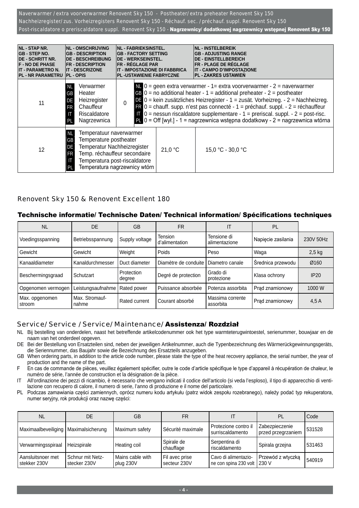Naverwarmer / extra voorverwarmer Renovent Sky 150 - Postheater/ extra preheater Renovent Sky 150 Nachheizregister/ zus. Vorheizregisters Renovent Sky 150 - Réchauf. sec. / préchauf. suppl. Renovent Sky 150 Post-riscaldatore o preriscaldatore suppl. Renovent Sky 150 - Nagrzewnicy/dodatkowej nagrzewnicy wstępnej Renovent Sky 150

| <b>NL - STAP NR.</b><br><b>NL - OMSCHRIJVING</b><br><b>GB-STEP NO.</b><br><b>GB - DESCRIPTION</b><br><b>IDE - SCHRITT NR.</b><br><b>DE - BESCHREIBUNG</b><br><b>F - NO DE PHASE</b><br><b>FR - DESCRIPTION</b><br><b>IT - DESCRIZONE</b><br><b>IT - PARAMETRO N.</b><br><b>PL - NR PARAMETRU</b><br><b>PL - OPIS</b> |                                                                                                                                                                                                                                        | <b>INL - FABRIEKSINSTEL.</b><br><b>GB - FACTORY SETTING</b><br><b>DE - WERKSEINSTEL.</b><br><b>FR - RÉGLAGE PAR</b><br>IT - IMPOSTAZIONE DI FABBRICA<br><b>PL -USTAWIENIE FABRYCZNE</b> |         |                   | <b>NL - INSTELBEREIK</b><br><b>GB - ADJUSTING RANGE</b><br><b>DE - EINSTELLBEREICH</b><br><b>FR - PLAGE DE RÉGLAGE</b><br><b>IT - CAMPO D'IMPOSTAZIONE</b><br><b>PL - ZAKRES USTAWIEN</b>                                                                                                                                                                                                                                                                                                                                               |  |
|----------------------------------------------------------------------------------------------------------------------------------------------------------------------------------------------------------------------------------------------------------------------------------------------------------------------|----------------------------------------------------------------------------------------------------------------------------------------------------------------------------------------------------------------------------------------|-----------------------------------------------------------------------------------------------------------------------------------------------------------------------------------------|---------|-------------------|-----------------------------------------------------------------------------------------------------------------------------------------------------------------------------------------------------------------------------------------------------------------------------------------------------------------------------------------------------------------------------------------------------------------------------------------------------------------------------------------------------------------------------------------|--|
| 11                                                                                                                                                                                                                                                                                                                   | Verwarmer<br><b>NL</b><br>Heater<br><b>GB</b><br>Heizregister<br>DE<br>Chauffeur<br><b>FR</b><br>Riscaldatore<br>Nagrzewnica<br>PL                                                                                                     | $\pmb{0}$                                                                                                                                                                               |         |                   | $N = 0$ = geen extra verwarmer - 1 = extra voorverwarmer - 2 = naverwarmer<br><b>CB</b> $0 =$ no additional heater - 1 = additional preheater - 2 = postheater<br>DE 0 = kein zusätzliches Heizregister - 1 = zusät. Vorheizreg. - 2 = Nachheizreg.<br>$\bullet$ 0 = chauff. supp. n'est pas connecté - 1 = préchauf. suppl. - 2 = réchauffeur<br>$\Gamma$ 0 = nessun riscaldatore supplementare - 1 = preriscal. suppl. - 2 = post-risc.<br>$P_{\text{L}}$ 0 = Off [wył.] - 1 = nagrzewnica wstępna dodatkowy - 2 = nagrzewnica wtórna |  |
| 12                                                                                                                                                                                                                                                                                                                   | Temperatuur naverwarmer<br>NL.<br>Temperature postheater<br><b>GB</b><br>Temperatur Nachheizregister<br>DE<br>Temp. réchauffeur secondaire<br><b>FR</b><br>Temperatura post-riscaldatore<br>Л<br>Temperatura nagrzewnicy wtórn<br>l Pl |                                                                                                                                                                                         | 21,0 °C | 15,0 °C - 30,0 °C |                                                                                                                                                                                                                                                                                                                                                                                                                                                                                                                                         |  |

## Renovent Sky 150 & Renovent Excellent 180

### Technische informatie/ Technische Daten/ Technical information/ Spécifications techniques

| <b>NL</b>                | <b>DE</b>               | <b>GB</b>            | <b>FR</b>                 | IΤ                            | PL                 |           |
|--------------------------|-------------------------|----------------------|---------------------------|-------------------------------|--------------------|-----------|
| Voedingsspanning         | Betriebsspannung        | Supply voltage       | Tension<br>d'alimentation | Tensione di<br>alimentazione  | Napięcie zasilania | 230V 50Hz |
| Gewicht                  | Gewicht                 | Weight               | Poids                     | Peso                          | Waga               | $2,5$ kg  |
| Kanaaldiameter           | Kanaldurchmesser        | Duct diameter        | Diamètre de conduite      | Diametro canale               | Średnica przewodu  | Ø160      |
| Beschermingsgraad        | Schutzart               | Protection<br>degree | Degré de protection       | Grado di<br>protezione        | Klasa ochrony      | IP20      |
| Opgenomen vermogen       | Leistungsaufnahme       | Rated power          | Puissance absorbée        | Potenza assorbita             | Prad znamionowy    | 1000 W    |
| Max. opgenomen<br>stroom | Max. Stromauf-<br>nahme | Rated current        | Courant absorbé           | Massima corrente<br>assorbita | Prąd znamionowy    | 4.5A      |

### Service/ Service / Service/ Maintenance/ Assistenza/ Rozdział

- NL Bij bestelling van onderdelen, naast het betreffende artikelcodenummer ook het type warmteterugwintoestel, serienummer, bouwjaar en de naam van het onderdeel opgeven.
- DE Bei der Bestellung von Ersatzteilen sind, neben der jeweiligen Artikelnummer, auch die Typenbezeichnung des Wärmerückgewinnungsgeräts, die Seriennummer, das Baujahr sowie die Bezeichnung des Ersatzteils anzugeben.
- GB When ordering parts, in addition to the article code number, please state the type of the heat recovery appliance, the serial number, the year of production and the name of the part.
- F En cas de commande de pièces, veuillez également spécifier, outre le code d'article spécifique le type d'appareil à récupération de chaleur, le numéro de série, l'année de construction et la désignation de la pièce.
- IT All'ordinazione dei pezzi di ricambio, è necessario che vengano indicati il codice dell'articolo (si veda l'esploso), il tipo di apparecchio di ventilazione con recupero di calore, il numero di serie, l'anno di produzione e il nome del particolare.
- PL Podczas zamawiania części zamiennych, oprócz numeru kodu artykułu (patrz widok zespołu rozebranego), należy podać typ rekuperatora, numer seryjny, rok produkcji oraz nazwę części:

| <b>NL</b>                              | DE                               | GB                            | FR                             |                                                     | PL                                   | Code   |
|----------------------------------------|----------------------------------|-------------------------------|--------------------------------|-----------------------------------------------------|--------------------------------------|--------|
| Maximaalbeveiliging   Maximalsicherung |                                  | Maximum safety                | Sécurité maximale              | i Protezione contro il<br>surriscaldamento          | Zabezpieczenie<br>przed przegrzaniem | 531528 |
| Verwarmingsspiraal                     | Heizspirale                      | Heating coil                  | Spirale de<br>chauffage        | Serpentina di<br>riscaldamento                      | Spirala grzejna                      | 531463 |
| Aansluitsnoer met<br>stekker 230V      | Schnur mit Netz-<br>stecker 230V | Mains cable with<br>plug 230V | Fil avec prise<br>secteur 230V | Cavo di alimentazio-<br>ne con spina 230 volt 230 V | Przewód z wtyczką                    | 540919 |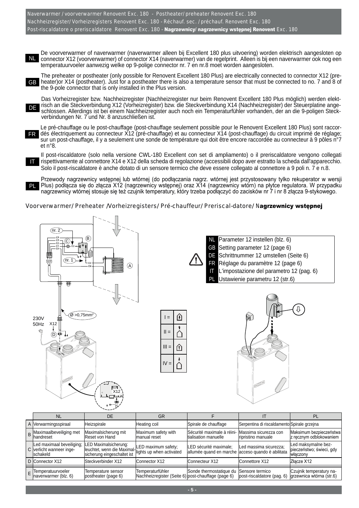Naverwarmer / voorverwarmer Renovent Exc. 180 - Postheater/ preheater Renovent Exc. 180 Nachheizregister/ Vorheizregisters Renovent Exc. 180 - Réchauf. sec. / préchauf. Renovent Exc. 180 Post-riscaldatore o preriscaldatore Renovent Exc. 180 - Nagrzewnicy/ nagrzewnicy wstępnej Renovent Exc. 180

De voorverwarmer of naverwarmer (naverwarmer alleen bij Excellent 180 plus uitvoering) worden elektrisch aangesloten op connector X12 (voorverwarmer) of connector X14 (naverwarmer) van de regelprint. Alleen is bij een naverwarmer ook nog een NL temperatuurvoeler aanwezig welke op 9-polige connector nr. 7 en nr.8 moet worden aangesloten.

The preheater or postheater (only possible for Renovent Excellent 180 Plus) are electrically connected to connector X12 (pre-GB heater)or X14 (postheater). Just for a postheater there is also a temperature sensor that must be connected to no. 7 and 8 of the 9-pole connector that is only installed in the Plus version.

Das Vorheizregister bzw. Nachheizregister (Nachheizregister nur beim Renovent Excellent 180 Plus möglich) werden elektrisch an die Steckverbindung X12 (Vorheizregister) bzw. die Steckverbindung X14 (Nachheizregister) der Steuerplatine angeschlossen. Allerdings ist bei einem Nachheizregister auch noch ein Temperaturfühler vorhanden, der an die 9-poligen Steckverbindungen Nr. 7 und Nr. 8 anzuschließen ist. DE

Le pré-chauffage ou le post-chauffage (post-chauffage seulement possible pour le Renovent Excellent 180 Plus) sont raccordés électriquement au connecteur X12 (pré-chauffage) et au connecteur X14 (post-chauffage) du circuit imprimé de réglage; FR sur un post-chauffage, il y a seulement une sonde de température qui doit être encore raccordée au connecteur à 9 pôles n°7 et n°8.

Il post-riscaldatore (solo nella versione CWL-180 Excellent con set di ampliamento) o il preriscaldatore vengono collegati rispettivamente al connettore X14 e X12 della scheda di regolazione (accessibili dopo aver estratto la scheda dall'apparecchio. Solo il post-riscaldatore è anche dotato di un sensore termico che deve essere collegato al connettore a 9 poli n. 7 e n.8.

Przewody nagrzewnicy wstępnej lub wtórnej (do podłączania nagrz. wtórnej jest przystosowany tylko rekuperator w wersji Plus) podłącza się do złącza X12 (nagrzewnicy wstępnej) oraz X14 (nagrzewnicy wtórn) na płytce regulatora. W przypadku nagrzewnicy wtórnej stosuje się też czujnik temperatury, który trzeba podłączyć do zacisków nr 7 i nr 8 złącza 9-stykowego.

#### Voorverwarmer/ Preheater /Vorheizregisters/ Pré-chauffeur/ Preriscal-datore/ Nagrzewnicy wstępnej



 $\widehat{\emptyset}$  >0,75mm<sup>2</sup>

IT

PL

230V 50Hz X12

ന്



 $IV$ 

X12

Parameter 12 instellen (blz. 6) GB Setting parameter 12 (page 6) DE Schrittnummer 12 umstellen (Seite 6) FR Réglage du paramètre 12 (page 6) IT L'impostazione del parametro 12 (pag. 6) Ustawienie parametru 12 (str.6)



| NL                                                                        | DE                                                                                   | GR                                                                     |                                                                             |                                                       |                                                             |  |
|---------------------------------------------------------------------------|--------------------------------------------------------------------------------------|------------------------------------------------------------------------|-----------------------------------------------------------------------------|-------------------------------------------------------|-------------------------------------------------------------|--|
| A Verwarmingsspiraal                                                      | Heizspirale                                                                          | Heating coil                                                           | Spirale de chauffage                                                        | Serpentina di riscaldamento Spirale grzejna           |                                                             |  |
| <b>B</b> Maximaalbeveiliging met<br><b>I</b> handreset                    | Maximalsicherung mit<br>Reset von Hand                                               | Maximum safety with<br>Imanual reset                                   | Sécurité maximale à réini-<br>Itialisation manuelle                         | Massima sicurezza con<br>Iripristino manuale          | Maksimum bezpieczeństwa<br>z ręcznym odblokowaniem          |  |
| Led maximaal beveiliging;<br>C verlicht wanneer inge-<br><b>Ischakeld</b> | LED Maximalsicherung:<br>lleuchtet, wenn die Maximal-<br>sicherung eingeschaltet ist | LED maximum safety;<br>lights up when activated                        | LED sécurité maximale:<br>allumée quand en marche acceso quando è abilitata | Led massima sicurezza;                                | Led maksymalne bez-<br>pieczeństwo: świeci, gdy<br>właczony |  |
| D Connector X12                                                           | <b>Steckverbinder X12</b>                                                            | Connector X12                                                          | Connecteur X12                                                              | IConnettore X12                                       | Złacze X12                                                  |  |
| E Temperatuurvoeler<br>naverwarmer (blz. 6)                               | Temperature sensor<br>postheater (page 6)                                            | Temperaturfühler<br>Nachheizregister (Seite 6) post-chauffage (page 6) | Sonde thermostatique du                                                     | <b>ISensore termico</b><br>post-riscaldatore (pag. 6) | Czujnik temperatury na-<br>grzewnica wtórna (str.6)         |  |